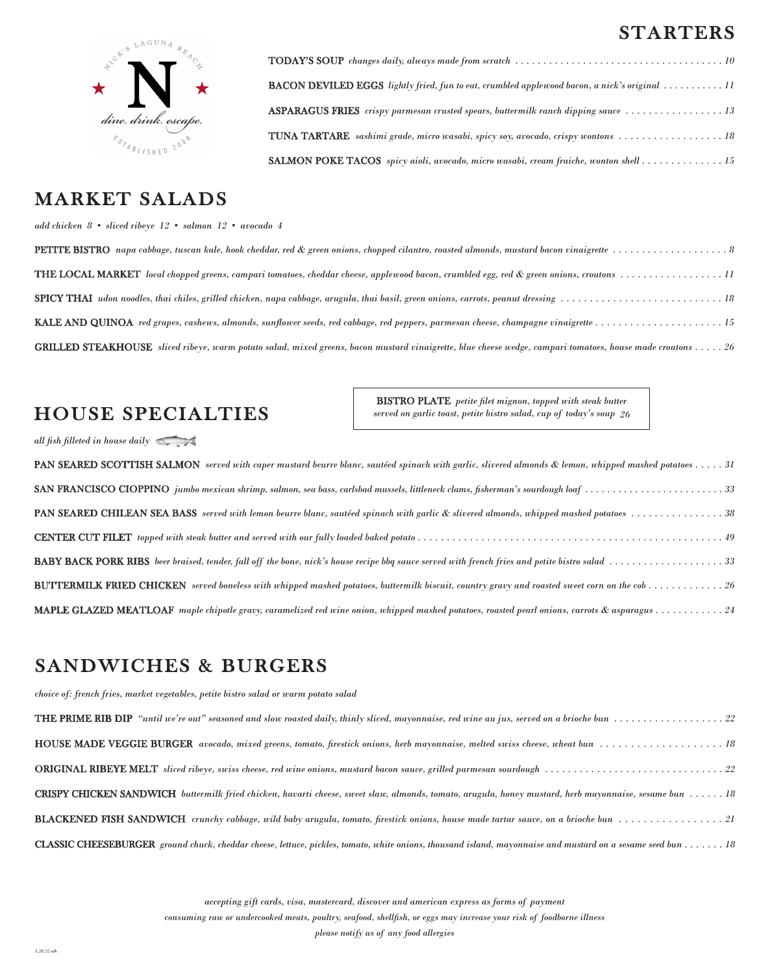### STARTERS



## MARKET SALADS

#### *add chicken 8 • sliced ribeye 12 • salmon 12 • avocado 4*

| <b>THE LOCAL MARKET</b> local chopped greens, campari tomatoes, cheddar cheese, applewood bacon, crumbled egg, red & green onions, croutons 11                   |
|------------------------------------------------------------------------------------------------------------------------------------------------------------------|
|                                                                                                                                                                  |
|                                                                                                                                                                  |
| <b>GRILLED STEAKHOUSE</b> sliced ribeye, warm potato salad, mixed greens, bacon mustard vinaigrette, blue cheese wedge, campari tomatoes, house made croutons 26 |

# HOUSE SPECIALTIES

BISTRO PLATE *petite filet mignon, topped with steak butter served on garlic toast, petite bistro salad, cup of today's soup 26*

TODAY'S SOUP *changes daily, always made from scratch . . . . . . . . . . . . . . . . . . . . . . . . . . . . . . . . . . . . . 10*

BACON DEVILED EGGS *lightly fried, fun to eat, crumbled applewood bacon, a nick's original . . . . . . . . . . . 11*

ASPARAGUS FRIES *crispy parmesan crusted spears, buttermilk ranch dipping sauce . . . . . . . . . . . . . . . . . 13*

TUNA TARTARE *sashimi grade, micro wasabi, spicy soy, avocado, crispy wontons . . . . . . . . . . . . . . . . . . 18*

SALMON POKE TACOS *spicy aioli, avocado, micro wasabi, cream fraiche, wonton shell . . . . . . . . . . . . . . 15*

*all fish filleted in house daily* 

| <b>PAN SEARED SCOTTISH SALMON</b> served with caper mustard beurre blanc, sautéed spinach with garlic, slivered almonds & lemon, whipped mashed potatoes 31 |
|-------------------------------------------------------------------------------------------------------------------------------------------------------------|
| SAN FRANCISCO CIOPPINO jumbo mexican shrimp, salmon, sea bass, carlsbad mussels, littleneck clams, fisherman's sourdough loaf 33                            |
| <b>PAN SEARED CHILEAN SEA BASS</b> served with lemon beurre blanc, sautéed spinach with garlic & slivered almonds, whipped mashed potatoes 38               |
|                                                                                                                                                             |
| <b>BABY BACK PORK RIBS</b> beer braised, tender, fall off the bone, nick's house recipe bbg sauce served with french fries and petite bistro salad 33       |
|                                                                                                                                                             |
|                                                                                                                                                             |

### SANDWICHES & BURGERS

*choice of: french fries, market vegetables, petite bistro salad or warm potato salad*

| <b>CRISPY CHICKEN SANDWICH</b> buttermilk fried chicken, havarti cheese, sweet slaw, almonds, tomato, arugula, honey mustard, herb mayonnaise, sesame bun  18     |  |
|-------------------------------------------------------------------------------------------------------------------------------------------------------------------|--|
|                                                                                                                                                                   |  |
| <b>CLASSIC CHEESEBURGER</b> ground chuck, cheddar cheese, lettuce, pickles, tomato, white onions, thousand island, mayonnaise and mustard on a sesame seed bun 18 |  |

*accepting gift cards, visa, mastercard, discover and american express as forms of payment*

*consuming raw or undercooked meats, poultry, seafood, shellfish, or eggs may increase your risk of foodborne illness*

*please notify us of any food allergies*